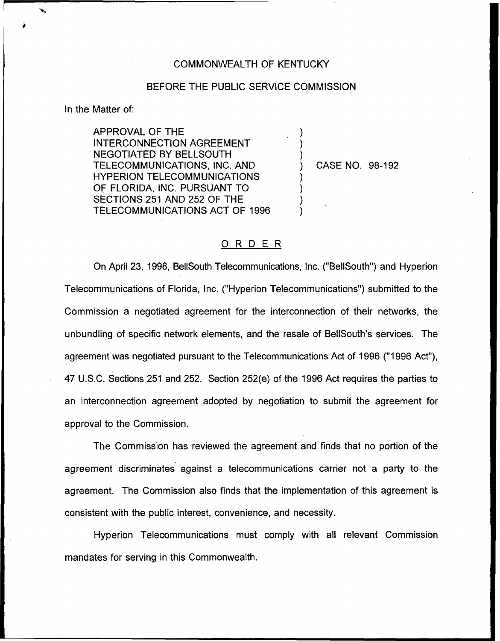## COMMONWEALTH OF KENTUCKY

## BEFORE THE PUBLIC SERVICE COMMISSION

) ) )

) ) ) )

In the Matter of:

APPROVAL OF THE INTERCONNECTION AGREEMENT NEGOTIATED BY BELLSOUTH TELECOMMUNICATIONS, INC. AND HYPERION TELECOMMUNICATIONS OF FLORIDA, INC. PURSUANT TO SECTIONS 251 AND 252 OF THE TELECOMMUNICATIONS ACT OF 1996

) CASE NO. 98-192

## ORDER

On April 23, 1998, BellSouth Telecommunications, Inc. ("BellSouth") and Hyperion Telecommunications of Florida, Inc. ("Hyperion Telecommunications") submitted to the Commission a negotiated agreement for the interconnection of their networks, the unbundling of specific network elements, and the resale of BellSouth's services. The agreement was negotiated pursuant to the Telecommunications Act of 1996 ("1996 Act"), 47 U.S.C. Sections 251 and 252. Section 252(e) of the 1996 Act requires the parties to an interconnection agreement adopted by negotiation to submit the agreement for approval to the Commission.

The Commission has reviewed the agreement and finds that no portion of the agreement discriminates against a telecommunications carrier not a party to the agreement. The Commission also finds that the implementation of this agreement is consistent with the public interest, convenience, and necessity.

Hyperion Telecommunications must comply with all relevant Commission mandates for serving in this Commonwealth.